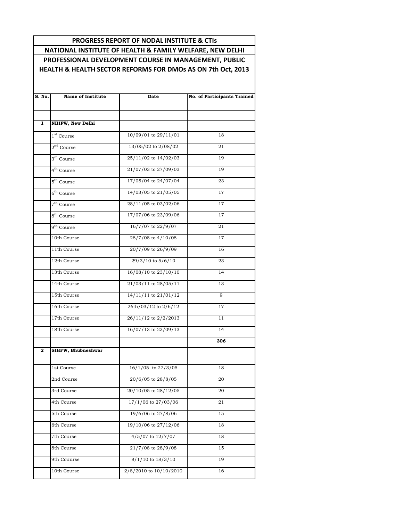## **PROGRESS REPORT OF NODAL INSTITUTE & CTIs**

**NATIONAL INSTITUTE OF HEALTH & FAMILY WELFARE, NEW DELHI PROFESSIONAL DEVELOPMENT COURSE IN MANAGEMENT, PUBLIC HEALTH & HEALTH SECTOR REFORMS FOR DMOs AS ON 7th Oct, 2013**

| S. No.       | <b>Name of Institute</b> | Date                     | <b>No. of Participants Trained</b> |
|--------------|--------------------------|--------------------------|------------------------------------|
|              |                          |                          |                                    |
| $\mathbf{1}$ | NIHFW, New Delhi         |                          |                                    |
|              | 1 <sup>st</sup> Course   | 10/09/01 to 29/11/01     | 18                                 |
|              | $2nd$ Course             | 13/05/02 to 2/08/02      | 21                                 |
|              | 3 <sup>rd</sup> Course   | 25/11/02 to 14/02/03     | 19                                 |
|              | 4 <sup>th</sup> Course   | 21/07/03 to 27/09/03     | 19                                 |
|              | $5^{\text{th}}$ Course   | 17/05/04 to 24/07/04     | 23                                 |
|              | $6th$ Course             | 14/03/05 to 21/05/05     | 17                                 |
|              | $7th$ Course             | 28/11/05 to 03/02/06     | 17                                 |
|              | 8 <sup>th</sup> Course   | 17/07/06 to 23/09/06     | 17                                 |
|              | 9 <sup>th</sup> Course   | 16/7/07 to 22/9/07       | 21                                 |
|              | 10th Course              | 28/7/08 to 4/10/08       | 17                                 |
|              | 11th Course              | 20/7/09 to 26/9/09       | 16                                 |
|              | 12th Course              | 29/3/10 to 5/6/10        | 23                                 |
|              | 13th Course              | 16/08/10 to 23/10/10     | 14                                 |
|              | 14th Course              | 21/03/11 to 28/05/11     | 13                                 |
|              | 15th Course              | $14/11/11$ to $21/01/12$ | 9                                  |
|              | 16th Course              | 26th/03/12 to 2/6/12     | 17                                 |
|              | 17th Course              | 26/11/12 to 2/2/2013     | 11                                 |
|              | 18th Course              | 16/07/13 to 23/09/13     | 14                                 |
| $\mathbf{2}$ | SIHFW, Bhubneshwar       |                          | 306                                |
|              |                          |                          |                                    |
|              | 1st Course               | 16/1/05 to 27/3/05       | 18                                 |
|              | 2nd Course               | 20/6/05 to 28/8/05       | 20                                 |
|              | 3rd Course               | 20/10/05 to 28/12/05     | 20                                 |
|              | 4th Course               | 17/1/06 to 27/03/06      | 21                                 |
|              | 5th Course               | 19/6/06 to 27/8/06       | 15                                 |
|              | 6th Course               | 19/10/06 to 27/12/06     | 18                                 |
|              | 7th Course               | 4/5/07 to 12/7/07        | 18                                 |
|              | 8th Course               | 21/7/08 to 28/9/08       | 15                                 |
|              | 9th Couurse              | $8/1/10$ to $18/3/10$    | 19                                 |
|              | 10th Course              | 2/8/2010 to 10/10/2010   | 16                                 |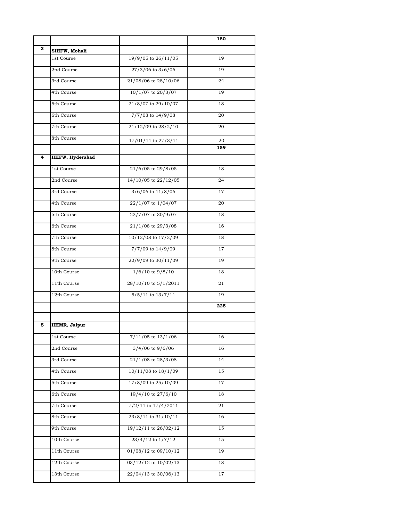| З<br>SIHFW, Mohali<br>19/9/05 to 26/11/05<br>1st Course<br>19<br>27/3/06 to 3/6/06<br>2nd Course<br>19<br>21/08/06 to 28/10/06<br>3rd Course<br>24<br>10/1/07 to 20/3/07<br>4th Course<br>19<br>21/8/07 to 29/10/07<br>5th Course<br>18<br>7/7/08 to 14/9/08<br>6th Course<br>20<br>21/12/09 to 28/2/10<br>7th Course<br>20<br>8th Course<br>20<br>17/01/11 to 27/3/11<br>159<br><b>IIHFW, Hyderabad</b><br>4<br>21/6/05 to 29/8/05<br>1st Course<br>18<br>14/10/05 to 22/12/05<br>24<br>2nd Course<br>3/6/06 to 11/8/06<br>3rd Course<br>17<br>22/1/07 to 1/04/07<br>4th Course<br>20<br>23/7/07 to 30/9/07<br>5th Course<br>18<br>6th Course<br>21/1/08 to 29/3/08<br>16<br>10/12/08 to 17/2/09<br>7th Course<br>18<br>7/7/09 to 14/9/09<br>8th Course<br>17<br>9th Course<br>22/9/09 to 30/11/09<br>19<br>10th Course<br>$1/6/10$ to $9/8/10$<br>18<br>28/10/10 to 5/1/2011<br>11th Course<br>21<br>$5/5/11$ to $13/7/11$<br>12th Course<br>19<br>225<br><b>IIHMR, Jaipur</b><br>5<br>$7/11/05$ to $13/1/06$<br>1st Course<br>16<br>$3/4/06$ to $9/6/06$<br>2nd Course<br>16<br>$21/1/08$ to $28/3/08$<br>3rd Course<br>14<br>10/11/08 to 18/1/09<br>4th Course<br>15<br>17/8/09 to 25/10/09<br>5th Course<br>17<br>19/4/10 to 27/6/10<br>6th Course<br>18<br>7/2/11 to 17/4/2011<br>7th Course<br>21<br>23/8/11 to 31/10/11<br>8th Course<br>16<br>19/12/11 to 26/02/12<br>9th Course<br>15<br>15 |             |                   | 180 |
|-------------------------------------------------------------------------------------------------------------------------------------------------------------------------------------------------------------------------------------------------------------------------------------------------------------------------------------------------------------------------------------------------------------------------------------------------------------------------------------------------------------------------------------------------------------------------------------------------------------------------------------------------------------------------------------------------------------------------------------------------------------------------------------------------------------------------------------------------------------------------------------------------------------------------------------------------------------------------------------------------------------------------------------------------------------------------------------------------------------------------------------------------------------------------------------------------------------------------------------------------------------------------------------------------------------------------------------------------------------------------------------------------------|-------------|-------------------|-----|
|                                                                                                                                                                                                                                                                                                                                                                                                                                                                                                                                                                                                                                                                                                                                                                                                                                                                                                                                                                                                                                                                                                                                                                                                                                                                                                                                                                                                       |             |                   |     |
|                                                                                                                                                                                                                                                                                                                                                                                                                                                                                                                                                                                                                                                                                                                                                                                                                                                                                                                                                                                                                                                                                                                                                                                                                                                                                                                                                                                                       |             |                   |     |
|                                                                                                                                                                                                                                                                                                                                                                                                                                                                                                                                                                                                                                                                                                                                                                                                                                                                                                                                                                                                                                                                                                                                                                                                                                                                                                                                                                                                       |             |                   |     |
|                                                                                                                                                                                                                                                                                                                                                                                                                                                                                                                                                                                                                                                                                                                                                                                                                                                                                                                                                                                                                                                                                                                                                                                                                                                                                                                                                                                                       |             |                   |     |
|                                                                                                                                                                                                                                                                                                                                                                                                                                                                                                                                                                                                                                                                                                                                                                                                                                                                                                                                                                                                                                                                                                                                                                                                                                                                                                                                                                                                       |             |                   |     |
|                                                                                                                                                                                                                                                                                                                                                                                                                                                                                                                                                                                                                                                                                                                                                                                                                                                                                                                                                                                                                                                                                                                                                                                                                                                                                                                                                                                                       |             |                   |     |
|                                                                                                                                                                                                                                                                                                                                                                                                                                                                                                                                                                                                                                                                                                                                                                                                                                                                                                                                                                                                                                                                                                                                                                                                                                                                                                                                                                                                       |             |                   |     |
|                                                                                                                                                                                                                                                                                                                                                                                                                                                                                                                                                                                                                                                                                                                                                                                                                                                                                                                                                                                                                                                                                                                                                                                                                                                                                                                                                                                                       |             |                   |     |
|                                                                                                                                                                                                                                                                                                                                                                                                                                                                                                                                                                                                                                                                                                                                                                                                                                                                                                                                                                                                                                                                                                                                                                                                                                                                                                                                                                                                       |             |                   |     |
|                                                                                                                                                                                                                                                                                                                                                                                                                                                                                                                                                                                                                                                                                                                                                                                                                                                                                                                                                                                                                                                                                                                                                                                                                                                                                                                                                                                                       |             |                   |     |
|                                                                                                                                                                                                                                                                                                                                                                                                                                                                                                                                                                                                                                                                                                                                                                                                                                                                                                                                                                                                                                                                                                                                                                                                                                                                                                                                                                                                       |             |                   |     |
|                                                                                                                                                                                                                                                                                                                                                                                                                                                                                                                                                                                                                                                                                                                                                                                                                                                                                                                                                                                                                                                                                                                                                                                                                                                                                                                                                                                                       |             |                   |     |
|                                                                                                                                                                                                                                                                                                                                                                                                                                                                                                                                                                                                                                                                                                                                                                                                                                                                                                                                                                                                                                                                                                                                                                                                                                                                                                                                                                                                       |             |                   |     |
|                                                                                                                                                                                                                                                                                                                                                                                                                                                                                                                                                                                                                                                                                                                                                                                                                                                                                                                                                                                                                                                                                                                                                                                                                                                                                                                                                                                                       |             |                   |     |
|                                                                                                                                                                                                                                                                                                                                                                                                                                                                                                                                                                                                                                                                                                                                                                                                                                                                                                                                                                                                                                                                                                                                                                                                                                                                                                                                                                                                       |             |                   |     |
|                                                                                                                                                                                                                                                                                                                                                                                                                                                                                                                                                                                                                                                                                                                                                                                                                                                                                                                                                                                                                                                                                                                                                                                                                                                                                                                                                                                                       |             |                   |     |
|                                                                                                                                                                                                                                                                                                                                                                                                                                                                                                                                                                                                                                                                                                                                                                                                                                                                                                                                                                                                                                                                                                                                                                                                                                                                                                                                                                                                       |             |                   |     |
|                                                                                                                                                                                                                                                                                                                                                                                                                                                                                                                                                                                                                                                                                                                                                                                                                                                                                                                                                                                                                                                                                                                                                                                                                                                                                                                                                                                                       |             |                   |     |
|                                                                                                                                                                                                                                                                                                                                                                                                                                                                                                                                                                                                                                                                                                                                                                                                                                                                                                                                                                                                                                                                                                                                                                                                                                                                                                                                                                                                       |             |                   |     |
|                                                                                                                                                                                                                                                                                                                                                                                                                                                                                                                                                                                                                                                                                                                                                                                                                                                                                                                                                                                                                                                                                                                                                                                                                                                                                                                                                                                                       |             |                   |     |
|                                                                                                                                                                                                                                                                                                                                                                                                                                                                                                                                                                                                                                                                                                                                                                                                                                                                                                                                                                                                                                                                                                                                                                                                                                                                                                                                                                                                       |             |                   |     |
|                                                                                                                                                                                                                                                                                                                                                                                                                                                                                                                                                                                                                                                                                                                                                                                                                                                                                                                                                                                                                                                                                                                                                                                                                                                                                                                                                                                                       |             |                   |     |
|                                                                                                                                                                                                                                                                                                                                                                                                                                                                                                                                                                                                                                                                                                                                                                                                                                                                                                                                                                                                                                                                                                                                                                                                                                                                                                                                                                                                       |             |                   |     |
|                                                                                                                                                                                                                                                                                                                                                                                                                                                                                                                                                                                                                                                                                                                                                                                                                                                                                                                                                                                                                                                                                                                                                                                                                                                                                                                                                                                                       |             |                   |     |
|                                                                                                                                                                                                                                                                                                                                                                                                                                                                                                                                                                                                                                                                                                                                                                                                                                                                                                                                                                                                                                                                                                                                                                                                                                                                                                                                                                                                       |             |                   |     |
|                                                                                                                                                                                                                                                                                                                                                                                                                                                                                                                                                                                                                                                                                                                                                                                                                                                                                                                                                                                                                                                                                                                                                                                                                                                                                                                                                                                                       |             |                   |     |
|                                                                                                                                                                                                                                                                                                                                                                                                                                                                                                                                                                                                                                                                                                                                                                                                                                                                                                                                                                                                                                                                                                                                                                                                                                                                                                                                                                                                       |             |                   |     |
|                                                                                                                                                                                                                                                                                                                                                                                                                                                                                                                                                                                                                                                                                                                                                                                                                                                                                                                                                                                                                                                                                                                                                                                                                                                                                                                                                                                                       |             |                   |     |
|                                                                                                                                                                                                                                                                                                                                                                                                                                                                                                                                                                                                                                                                                                                                                                                                                                                                                                                                                                                                                                                                                                                                                                                                                                                                                                                                                                                                       |             |                   |     |
|                                                                                                                                                                                                                                                                                                                                                                                                                                                                                                                                                                                                                                                                                                                                                                                                                                                                                                                                                                                                                                                                                                                                                                                                                                                                                                                                                                                                       |             |                   |     |
|                                                                                                                                                                                                                                                                                                                                                                                                                                                                                                                                                                                                                                                                                                                                                                                                                                                                                                                                                                                                                                                                                                                                                                                                                                                                                                                                                                                                       |             |                   |     |
|                                                                                                                                                                                                                                                                                                                                                                                                                                                                                                                                                                                                                                                                                                                                                                                                                                                                                                                                                                                                                                                                                                                                                                                                                                                                                                                                                                                                       |             |                   |     |
|                                                                                                                                                                                                                                                                                                                                                                                                                                                                                                                                                                                                                                                                                                                                                                                                                                                                                                                                                                                                                                                                                                                                                                                                                                                                                                                                                                                                       |             |                   |     |
|                                                                                                                                                                                                                                                                                                                                                                                                                                                                                                                                                                                                                                                                                                                                                                                                                                                                                                                                                                                                                                                                                                                                                                                                                                                                                                                                                                                                       |             |                   |     |
|                                                                                                                                                                                                                                                                                                                                                                                                                                                                                                                                                                                                                                                                                                                                                                                                                                                                                                                                                                                                                                                                                                                                                                                                                                                                                                                                                                                                       |             |                   |     |
|                                                                                                                                                                                                                                                                                                                                                                                                                                                                                                                                                                                                                                                                                                                                                                                                                                                                                                                                                                                                                                                                                                                                                                                                                                                                                                                                                                                                       | 10th Course | 23/4/12 to 1/7/12 |     |
| 01/08/12 to 09/10/12<br>11th Course<br>19                                                                                                                                                                                                                                                                                                                                                                                                                                                                                                                                                                                                                                                                                                                                                                                                                                                                                                                                                                                                                                                                                                                                                                                                                                                                                                                                                             |             |                   |     |
| 03/12/12 to 10/02/13<br>12th Course<br>18                                                                                                                                                                                                                                                                                                                                                                                                                                                                                                                                                                                                                                                                                                                                                                                                                                                                                                                                                                                                                                                                                                                                                                                                                                                                                                                                                             |             |                   |     |
| 22/04/13 to 30/06/13<br>$13\mathrm{th}$ Course<br>17                                                                                                                                                                                                                                                                                                                                                                                                                                                                                                                                                                                                                                                                                                                                                                                                                                                                                                                                                                                                                                                                                                                                                                                                                                                                                                                                                  |             |                   |     |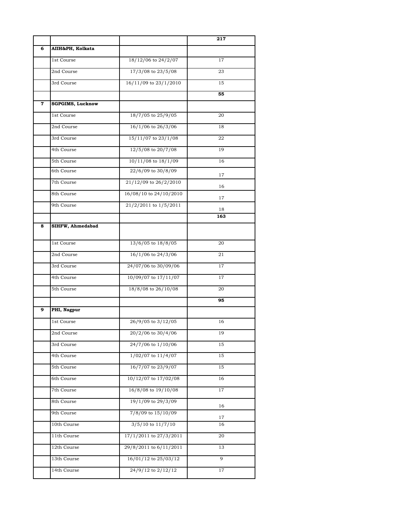|             |                         |                        | 217 |
|-------------|-------------------------|------------------------|-----|
| 6           | AIIH&PH, Kolkata        |                        |     |
|             | 1st Course              | 18/12/06 to 24/2/07    | 17  |
|             | 2nd Course              | 17/3/08 to 23/5/08     | 23  |
|             | 3rd Course              | 16/11/09 to 23/1/2010  | 15  |
|             |                         |                        | 55  |
| $\mathbf 7$ | <b>SGPGIMS, Lucknow</b> |                        |     |
|             | 1st Course              | 18/7/05 to 25/9/05     | 20  |
|             | 2nd Course              | 16/1/06 to 26/3/06     | 18  |
|             | 3rd Course              | 15/11/07 to 23/1/08    | 22  |
|             | 4th Course              | 12/5/08 to 20/7/08     | 19  |
|             | 5th Course              | 10/11/08 to 18/1/09    | 16  |
|             | 6th Course              | 22/6/09 to 30/8/09     | 17  |
|             | 7th Course              | 21/12/09 to 26/2/2010  | 16  |
|             | 8th Course              | 16/08/10 to 24/10/2010 | 17  |
|             | 9th Course              | 21/2/2011 to 1/5/2011  | 18  |
|             |                         |                        | 163 |
| 8           | SIHFW, Ahmedabad        |                        |     |
|             | 1st Course              | 13/6/05 to 18/8/05     | 20  |
|             | 2nd Course              | 16/1/06 to 24/3/06     | 21  |
|             | 3rd Course              | 24/07/06 to 30/09/06   | 17  |
|             | 4th Course              | 10/09/07 to 17/11/07   | 17  |
|             | 5th Course              | 18/8/08 to 26/10/08    | 20  |
|             |                         |                        | 95  |
| 9           | PHI, Nagpur             |                        |     |
|             | 1st Course              | 26/9/05 to 3/12/05     | 16  |
|             | 2nd Course              | 20/2/06 to 30/4/06     | 19  |
|             | 3rd Course              | 24/7/06 to 1/10/06     | 15  |
|             | 4th Course              | $1/02/07$ to $11/4/07$ | 15  |
|             | 5th Course              | 16/7/07 to 23/9/07     | 15  |
|             | 6th Course              | 10/12/07 to 17/02/08   | 16  |
|             | 7th Course              | 16/8/08 to 19/10/08    | 17  |
|             | 8th Course              | 19/1/09 to 29/3/09     | 16  |
|             | 9th Course              | 7/8/09 to 15/10/09     | 17  |
|             | 10th Course             | $3/5/10$ to $11/7/10$  | 16  |
|             | 11th Course             | 17/1/2011 to 27/3/2011 | 20  |
|             | 12th Course             | 29/8/2011 to 6/11/2011 | 13  |
|             | 13th Course             | 16/01/12 to 25/03/12   | 9   |
|             | 14th Course             | 24/9/12 to 2/12/12     | 17  |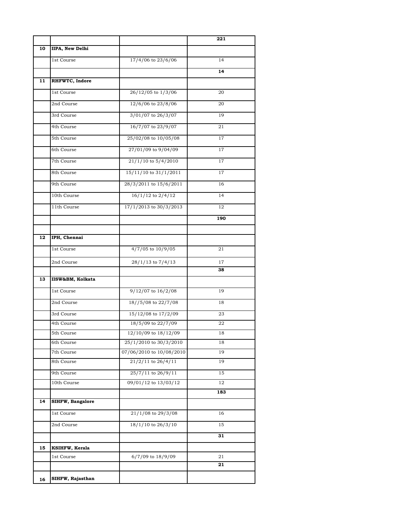|    |                         |                          | 221 |
|----|-------------------------|--------------------------|-----|
| 10 | <b>IIPA, New Delhi</b>  |                          |     |
|    | 1st Course              | 17/4/06 to 23/6/06       | 14  |
|    |                         |                          | 14  |
| 11 | RHFWTC, Indore          |                          |     |
|    | 1st Course              | 26/12/05 to 1/3/06       | 20  |
|    | 2nd Course              | 12/6/06 to 23/8/06       | 20  |
|    | 3rd Course              | 3/01/07 to 26/3/07       | 19  |
|    | 4th Course              | 16/7/07 to 23/9/07       | 21  |
|    | 5th Course              | 25/02/08 to 10/05/08     | 17  |
|    | 6th Course              | 27/01/09 to 9/04/09      | 17  |
|    | 7th Course              | 21/1/10 to 5/4/2010      | 17  |
|    | 8th Course              | 15/11/10 to 31/1/2011    | 17  |
|    | 9th Course              | 28/3/2011 to 15/6/2011   | 16  |
|    | 10th Course             | 16/1/12 to 2/4/12        | 14  |
|    | 11th Course             | 17/1/2013 to 30/3/2013   | 12  |
|    |                         |                          | 190 |
|    |                         |                          |     |
| 12 | IPH, Chennai            |                          |     |
|    | 1st Course              | 4/7/05 to 10/9/05        | 21  |
|    | 2nd Course              | 28/1/13 to 7/4/13        | 17  |
|    |                         |                          | 38  |
| 13 | IISW&BM, Kolkata        |                          |     |
|    | 1st Course              | $9/12/07$ to $16/2/08$   | 19  |
|    | 2nd Course              | 18//5/08 to 22/7/08      | 18  |
|    | 3rd Course              | 15/12/08 to 17/2/09      | 23  |
|    | 4th Course              | 18/5/09 to 22/7/09       | 22  |
|    | 5th Course              | 12/10/09 to 18/12/09     | 18  |
|    | 6th Course              | 25/1/2010 to 30/3/2010   | 18  |
|    | 7th Course              | 07/06/2010 to 10/08/2010 | 19  |
|    | 8th Course              | $21/2/11$ to $26/4/11$   | 19  |
|    | 9th Course              | 25/7/11 to 26/9/11       | 15  |
|    | 10th Course             | 09/01/12 to 13/03/12     | 12  |
|    |                         |                          | 183 |
| 14 | <b>SIHFW, Bangalore</b> |                          |     |
|    | 1st Course              | 21/1/08 to 29/3/08       | 16  |
|    | 2nd Course              | 18/1/10 to 26/3/10       | 15  |
|    |                         |                          | 31  |
| 15 | KSIHFW, Kerala          |                          |     |
|    | 1st Course              | 6/7/09 to 18/9/09        | 21  |
|    |                         |                          | 21  |
| 16 | SIHFW, Rajasthan        |                          |     |